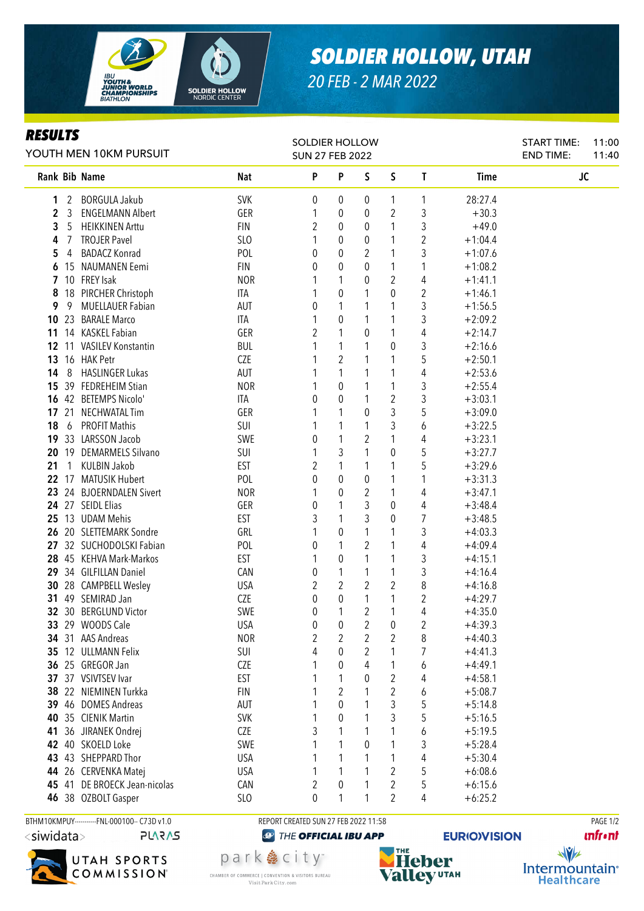

## *SOLDIER HOLLOW, UTAH*

*20 FEB - 2 MAR 2022*

## *RESULTS*

| YOUTH MEN 10KM PURSUIT |              |                                       |                          | <b>SOLDIER HOLLOW</b><br><b>SUN 27 FEB 2022</b> |                     |                     |                     |                         |                        | <b>START TIME:</b><br><b>END TIME:</b> | 11:00<br>11:40 |
|------------------------|--------------|---------------------------------------|--------------------------|-------------------------------------------------|---------------------|---------------------|---------------------|-------------------------|------------------------|----------------------------------------|----------------|
|                        |              | Rank Bib Name                         | <b>Nat</b>               | P                                               | P                   | $\mathsf S$         | S                   | $\mathbf{T}$            | <b>Time</b>            | JC                                     |                |
| 1                      |              | 2 BORGULA Jakub                       | <b>SVK</b>               | 0                                               | 0                   | 0                   | 1                   | 1                       | 28:27.4                |                                        |                |
| $\mathbf{2}$           | 3            | <b>ENGELMANN Albert</b>               | GER                      |                                                 | 0                   | 0                   | 2                   | 3                       | $+30.3$                |                                        |                |
| 3                      | -5           | <b>HEIKKINEN Arttu</b>                | <b>FIN</b>               | 2                                               | 0                   | 0                   | 1                   | 3                       | $+49.0$                |                                        |                |
| 4                      | 7            | <b>TROJER Pavel</b>                   | SLO                      |                                                 | 0                   | 0                   | 1                   | $\overline{2}$          | $+1:04.4$              |                                        |                |
| 5                      | 4            | <b>BADACZ Konrad</b>                  | POL                      | 0                                               | 0                   | $\overline{2}$      | 1                   | 3                       | $+1:07.6$              |                                        |                |
| 6                      |              | 15 NAUMANEN Eemi                      | <b>FIN</b>               | 0                                               | 0                   | $\theta$            | 1                   | 1                       | $+1:08.2$              |                                        |                |
|                        |              | 7 10 FREY Isak                        | <b>NOR</b>               |                                                 | 1                   | 0                   | 2                   | 4                       | $+1:41.1$              |                                        |                |
| 8                      |              | 18 PIRCHER Christoph                  | ITA                      |                                                 | 0                   | 1                   | 0                   | 2                       | $+1:46.1$              |                                        |                |
| 9                      |              | 9 MUELLAUER Fabian                    | AUT                      | 0                                               | 1                   | 1                   | 1                   | 3                       | $+1:56.5$              |                                        |                |
|                        |              | 10 23 BARALE Marco                    | ITA                      |                                                 | $\pmb{0}$           | 1                   | 1                   | 3                       | $+2:09.2$              |                                        |                |
|                        |              | 11 14 KASKEL Fabian                   | GER                      | 2                                               | $\mathbf{1}$        | $\boldsymbol{0}$    | 1                   | 4                       | $+2:14.7$              |                                        |                |
|                        |              | 12 11 VASILEV Konstantin              | <b>BUL</b>               |                                                 | 1                   | 1                   | 0                   | 3                       | $+2:16.6$              |                                        |                |
| 13                     |              | 16 HAK Petr                           | CZE                      |                                                 | $\overline{2}$      | 1                   |                     | 5                       | $+2:50.1$              |                                        |                |
| 14                     |              | 8 HASLINGER Lukas                     | AUT                      |                                                 | 1                   | 1                   | 1                   | 4                       | $+2:53.6$              |                                        |                |
| 15                     |              | 39 FEDREHEIM Stian                    | <b>NOR</b>               |                                                 | 0                   | 1                   | 1                   | 3                       | $+2:55.4$              |                                        |                |
| 16                     |              | 42 BETEMPS Nicolo'                    | ITA                      | 0                                               | 0                   | 1                   | 2                   | 3                       | $+3:03.1$              |                                        |                |
|                        |              | 17 21 NECHWATAL Tim                   | GER                      |                                                 | 1                   | 0                   | 3                   | 5                       | $+3:09.0$              |                                        |                |
| 18                     | 6            | <b>PROFIT Mathis</b>                  | SUI                      |                                                 | 1                   | 1                   | 3                   | 6                       | $+3:22.5$              |                                        |                |
|                        |              | 19 33 LARSSON Jacob                   | SWE                      | 0                                               | 1                   | $\overline{c}$      | 1                   | 4                       | $+3:23.1$              |                                        |                |
|                        |              | 20 19 DEMARMELS Silvano               | SUI                      |                                                 | 3                   | 1                   | 0                   | 5                       | $+3:27.7$              |                                        |                |
| 21                     | $\mathbf{1}$ | KULBIN Jakob                          | <b>EST</b>               | 2                                               | 1                   | 1                   | 1                   | 5                       | $+3:29.6$              |                                        |                |
|                        |              | 22 17 MATUSIK Hubert                  | POL                      | 0                                               | 0                   | $\mathbf 0$         | 1                   | 1                       | $+3:31.3$              |                                        |                |
|                        |              | 23 24 BJOERNDALEN Sivert              | <b>NOR</b>               |                                                 | 0                   | 2                   | 1                   | 4                       | $+3:47.1$              |                                        |                |
|                        |              | 24 27 SEIDL Elias                     | GER                      | 0                                               | 1                   | 3                   | 0                   | 4                       | $+3:48.4$              |                                        |                |
|                        |              | 25 13 UDAM Mehis                      | <b>EST</b>               | 3                                               | 1                   | 3                   | 0                   | 7                       | $+3:48.5$              |                                        |                |
|                        |              | 26 20 SLETTEMARK Sondre               | GRL                      |                                                 | 0                   | 1                   | 1                   | 3                       | $+4:03.3$              |                                        |                |
|                        |              | 27 32 SUCHODOLSKI Fabian              | POL                      | 0                                               | 1                   | 2                   | 1                   | 4                       | $+4:09.4$              |                                        |                |
|                        |              | 28 45 KEHVA Mark-Markos               | <b>EST</b>               |                                                 | 0                   | 1                   | 1                   | 3                       | $+4:15.1$              |                                        |                |
|                        |              | 29 34 GILFILLAN Daniel                | CAN                      | 0                                               | 1                   | 1                   | 1                   | 3                       | $+4:16.4$              |                                        |                |
|                        |              | 30 28 CAMPBELL Wesley                 | <b>USA</b>               | 2                                               | $\overline{2}$      | $\overline{2}$      | $\overline{c}$      | 8                       | $+4:16.8$              |                                        |                |
|                        |              | 31 49 SEMIRAD Jan                     | CZE                      | 0                                               | 0<br>1              | 1<br>$\overline{2}$ | 1                   | $\overline{\mathbf{c}}$ | $+4:29.7$              |                                        |                |
|                        |              | 32 30 BERGLUND Victor                 | SWE                      | 0                                               |                     | $\overline{2}$      | 1                   | 4                       | $+4:35.0$              |                                        |                |
|                        |              | 33 29 WOODS Cale<br>34 31 AAS Andreas | <b>USA</b><br><b>NOR</b> | $\pmb{0}$                                       | 0<br>$\overline{2}$ | 2                   | 0<br>$\overline{2}$ | 2<br>8                  | $+4:39.3$              |                                        |                |
| 35                     |              | 12 ULLMANN Felix                      | SUI                      | $\overline{c}$<br>4                             | 0                   | 2                   |                     | 7                       | $+4:40.3$<br>$+4:41.3$ |                                        |                |
| 36                     |              | 25 GREGOR Jan                         | CZE                      |                                                 | 0                   | 4                   |                     | 6                       | $+4:49.1$              |                                        |                |
| 37                     |              | 37 VSIVTSEV Ivar                      | <b>EST</b>               |                                                 | 1                   | 0                   | 2                   | 4                       | $+4:58.1$              |                                        |                |
| 38                     |              | 22 NIEMINEN Turkka                    | <b>FIN</b>               |                                                 | $\overline{2}$      | 1                   | $\overline{2}$      | 6                       | $+5:08.7$              |                                        |                |
|                        |              | 39 46 DOMES Andreas                   | AUT                      |                                                 | $\mathbf 0$         | 1                   | 3                   | 5                       | $+5:14.8$              |                                        |                |
| 40                     |              | 35 CIENIK Martin                      | <b>SVK</b>               |                                                 | 0                   | 1                   | 3                   | 5                       | $+5:16.5$              |                                        |                |
| 41                     |              | 36 JIRANEK Ondrej                     | <b>CZE</b>               | 3                                               | 1                   | 1                   | 1                   | 6                       | $+5:19.5$              |                                        |                |
| 42                     |              | 40 SKOELD Loke                        | SWE                      |                                                 | 1                   | 0                   | 1                   | 3                       | $+5:28.4$              |                                        |                |
| 43                     |              | 43 SHEPPARD Thor                      | <b>USA</b>               |                                                 | 1                   | 1                   | 1                   | 4                       | $+5:30.4$              |                                        |                |
| 44                     |              | 26 CERVENKA Matej                     | <b>USA</b>               |                                                 | 1                   | 1                   | 2                   | 5                       | $+6:08.6$              |                                        |                |
| 45                     |              | 41 DE BROECK Jean-nicolas             | CAN                      | $\overline{c}$                                  | 0                   |                     | 2                   | 5                       | $+6:15.6$              |                                        |                |
|                        |              | 46 38 OZBOLT Gasper                   | SLO                      | 0                                               | 1                   | 1                   | 2                   | 4                       | $+6:25.2$              |                                        |                |
|                        |              |                                       |                          |                                                 |                     |                     |                     |                         |                        |                                        |                |

BTHM10KMPUY----------FNL-000100-- C73D v1.0 REPORT CREATED SUN 27 FEB 2022 11:58 REPORT CREATED SUN 27 FEB 2022 11:58 <siwidata>

**PLARAS** 



park 急 city<sup>®</sup>

CHAMBER OF COMMERCE | CONVENTION & VISITORS BUREAU

Visit Park City.com

**@ THE OFFICIAL IBU APP** 

THE **Heber Valley UTAH** 

**EURIO)VISION** 

**unfront** 

 $\sqrt{v}$ Intermountain<sup>®</sup> **Healthcare**